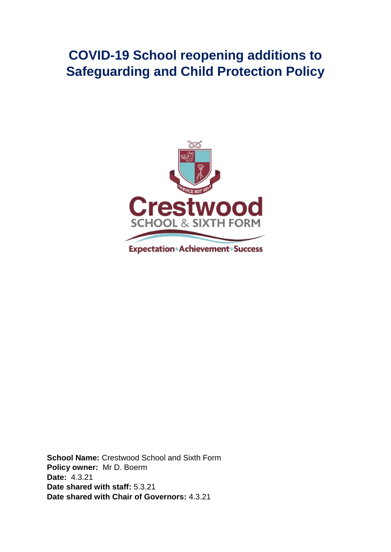## **COVID-19 School reopening additions to Safeguarding and Child Protection Policy**



**School Name:** Crestwood School and Sixth Form **Policy owner:** Mr D. Boerm **Date:** 4.3.21 **Date shared with staff:** 5.3.21 **Date shared with Chair of Governors:** 4.3.21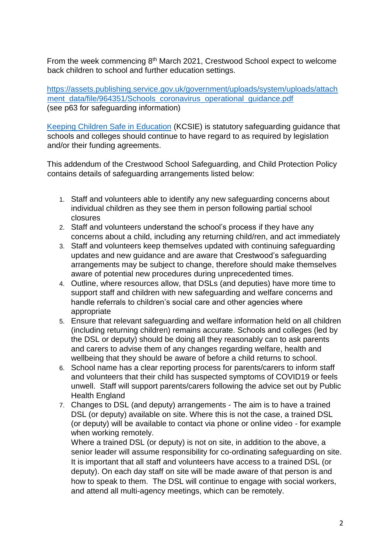From the week commencing 8<sup>th</sup> March 2021, Crestwood School expect to welcome back children to school and further education settings.

[https://assets.publishing.service.gov.uk/government/uploads/system/uploads/attach](https://assets.publishing.service.gov.uk/government/uploads/system/uploads/attachment_data/file/964351/Schools_coronavirus_operational_guidance.pdf) ment\_data/file/964351/Schools\_coronavirus\_operational\_quidance.pdf (see p63 for safeguarding information)

[Keeping Children Safe in Education](https://www.gov.uk/government/publications/keeping-children-safe-in-education--2) (KCSIE) is statutory safeguarding guidance that schools and colleges should continue to have regard to as required by legislation and/or their funding agreements.

This addendum of the Crestwood School Safeguarding, and Child Protection Policy contains details of safeguarding arrangements listed below:

- 1. Staff and volunteers able to identify any new safeguarding concerns about individual children as they see them in person following partial school closures
- 2. Staff and volunteers understand the school's process if they have any concerns about a child, including any returning child/ren, and act immediately
- 3. Staff and volunteers keep themselves updated with continuing safeguarding updates and new guidance and are aware that Crestwood's safeguarding arrangements may be subject to change, therefore should make themselves aware of potential new procedures during unprecedented times.
- 4. Outline, where resources allow, that DSLs (and deputies) have more time to support staff and children with new safeguarding and welfare concerns and handle referrals to children's social care and other agencies where appropriate
- 5. Ensure that relevant safeguarding and welfare information held on all children (including returning children) remains accurate. Schools and colleges (led by the DSL or deputy) should be doing all they reasonably can to ask parents and carers to advise them of any changes regarding welfare, health and wellbeing that they should be aware of before a child returns to school.
- 6. School name has a clear reporting process for parents/carers to inform staff and volunteers that their child has suspected symptoms of COVID19 or feels unwell. Staff will support parents/carers following the advice set out by Public Health England
- 7. Changes to DSL (and deputy) arrangements The aim is to have a trained DSL (or deputy) available on site. Where this is not the case, a trained DSL (or deputy) will be available to contact via phone or online video - for example when working remotely.

Where a trained DSL (or deputy) is not on site, in addition to the above, a senior leader will assume responsibility for co-ordinating safeguarding on site. It is important that all staff and volunteers have access to a trained DSL (or deputy). On each day staff on site will be made aware of that person is and how to speak to them. The DSL will continue to engage with social workers, and attend all multi-agency meetings, which can be remotely.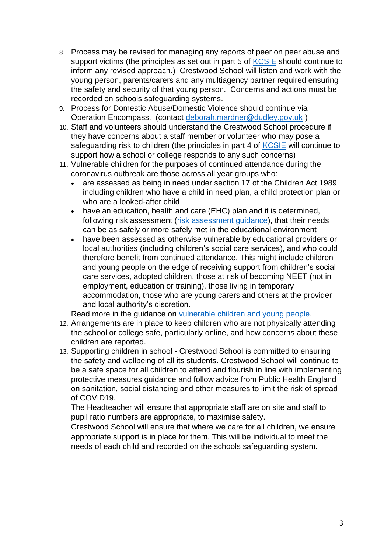- 8. Process may be revised for managing any reports of peer on peer abuse and support victims (the principles as set out in part 5 of [KCSIE](https://www.gov.uk/government/publications/keeping-children-safe-in-education--2) should continue to inform any revised approach.) Crestwood School will listen and work with the young person, parents/carers and any multiagency partner required ensuring the safety and security of that young person. Concerns and actions must be recorded on schools safeguarding systems.
- 9. Process for Domestic Abuse/Domestic Violence should continue via Operation Encompass. (contact [deborah.mardner@dudley.gov.uk](mailto:deborah.mardner@dudley.gov.uk) )
- 10. Staff and volunteers should understand the Crestwood School procedure if they have concerns about a staff member or volunteer who may pose a safeguarding risk to children (the principles in part 4 of [KCSIE](https://www.gov.uk/government/publications/keeping-children-safe-in-education--2) will continue to support how a school or college responds to any such concerns)
- 11. Vulnerable children for the purposes of continued attendance during the coronavirus outbreak are those across all year groups who:
	- are assessed as being in need under section 17 of the Children Act 1989, including children who have a child in need plan, a child protection plan or who are a looked-after child
	- have an education, health and care (EHC) plan and it is determined, following risk assessment [\(risk assessment guidance\)](https://www.gov.uk/government/publications/coronavirus-covid-19-send-risk-assessment-guidance/coronavirus-covid-19-send-risk-assessment-guidance), that their needs can be as safely or more safely met in the educational environment
	- have been assessed as otherwise vulnerable by educational providers or local authorities (including children's social care services), and who could therefore benefit from continued attendance. This might include children and young people on the edge of receiving support from children's social care services, adopted children, those at risk of becoming NEET (not in employment, education or training), those living in temporary accommodation, those who are young carers and others at the provider and local authority's discretion.

Read more in the guidance on [vulnerable children and young people.](https://www.gov.uk/government/publications/coronavirus-covid-19-guidance-on-vulnerable-children-and-young-people)

- 12. Arrangements are in place to keep children who are not physically attending the school or college safe, particularly online, and how concerns about these children are reported.
- 13. Supporting children in school Crestwood School is committed to ensuring the safety and wellbeing of all its students. Crestwood School will continue to be a safe space for all children to attend and flourish in line with implementing protective measures guidance and follow advice from Public Health England on sanitation, social distancing and other measures to limit the risk of spread of COVID19.

The Headteacher will ensure that appropriate staff are on site and staff to pupil ratio numbers are appropriate, to maximise safety.

Crestwood School will ensure that where we care for all children, we ensure appropriate support is in place for them. This will be individual to meet the needs of each child and recorded on the schools safeguarding system.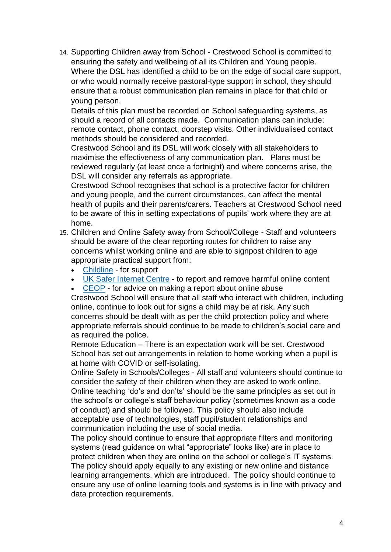14. Supporting Children away from School - Crestwood School is committed to ensuring the safety and wellbeing of all its Children and Young people. Where the DSL has identified a child to be on the edge of social care support, or who would normally receive pastoral-type support in school, they should ensure that a robust communication plan remains in place for that child or young person.

Details of this plan must be recorded on School safeguarding systems, as should a record of all contacts made. Communication plans can include; remote contact, phone contact, doorstep visits. Other individualised contact methods should be considered and recorded.

Crestwood School and its DSL will work closely with all stakeholders to maximise the effectiveness of any communication plan. Plans must be reviewed regularly (at least once a fortnight) and where concerns arise, the DSL will consider any referrals as appropriate.

Crestwood School recognises that school is a protective factor for children and young people, and the current circumstances, can affect the mental health of pupils and their parents/carers. Teachers at Crestwood School need to be aware of this in setting expectations of pupils' work where they are at home.

- 15. Children and Online Safety away from School/College Staff and volunteers should be aware of the clear reporting routes for children to raise any concerns whilst working online and are able to signpost children to age appropriate practical support from:
	- [Childline](https://www.childline.org.uk/?utm_source=google&utm_medium=cpc&utm_campaign=UK_GO_S_B_BND_Grant_Childline_Information&utm_term=role_of_childline&gclsrc=aw.ds&&gclid=EAIaIQobChMIlfLRh-ez6AIVRrDtCh1N9QR2EAAYASAAEgLc-vD_BwE&gclsrc=aw.ds) for support
	- [UK Safer Internet Centre](https://reportharmfulcontent.com/) to report and remove harmful online content
	- [CEOP](https://www.ceop.police.uk/safety-centre/) for advice on making a report about online abuse

Crestwood School will ensure that all staff who interact with children, including online, continue to look out for signs a child may be at risk. Any such concerns should be dealt with as per the child protection policy and where appropriate referrals should continue to be made to children's social care and as required the police.

Remote Education – There is an expectation work will be set. Crestwood School has set out arrangements in relation to home working when a pupil is at home with COVID or self-isolating.

Online Safety in Schools/Colleges - All staff and volunteers should continue to consider the safety of their children when they are asked to work online. Online teaching 'do's and don'ts' should be the same principles as set out in the school's or college's staff behaviour policy (sometimes known as a code of conduct) and should be followed. This policy should also include acceptable use of technologies, staff pupil/student relationships and communication including the use of social media.

The policy should continue to ensure that appropriate filters and monitoring systems (read guidance on what "appropriate" looks like) are in place to protect children when they are online on the school or college's IT systems. The policy should apply equally to any existing or new online and distance learning arrangements, which are introduced. The policy should continue to ensure any use of online learning tools and systems is in line with privacy and data protection requirements.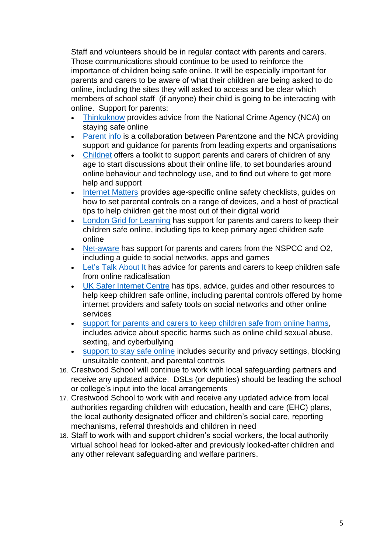Staff and volunteers should be in regular contact with parents and carers. Those communications should continue to be used to reinforce the importance of children being safe online. It will be especially important for parents and carers to be aware of what their children are being asked to do online, including the sites they will asked to access and be clear which members of school staff (if anyone) their child is going to be interacting with online. Support for parents:

- [Thinkuknow](http://www.thinkuknow.co.uk/) provides advice from the National Crime Agency (NCA) on staying safe online
- [Parent info](https://parentinfo.org/) is a collaboration between Parentzone and the NCA providing support and guidance for parents from leading experts and organisations
- [Childnet](https://www.childnet.com/parents-and-carers/parent-and-carer-toolkit) offers a toolkit to support parents and carers of children of any age to start discussions about their online life, to set boundaries around online behaviour and technology use, and to find out where to get more help and support
- [Internet Matters](https://www.internetmatters.org/?gclid=EAIaIQobChMIktuA5LWK2wIVRYXVCh2afg2aEAAYASAAEgIJ5vD_BwE) provides age-specific online safety checklists, guides on how to set parental controls on a range of devices, and a host of practical tips to help children get the most out of their digital world
- [London Grid for Learning](http://www.lgfl.net/online-safety/) has support for parents and carers to keep their children safe online, including tips to keep primary aged children safe online
- [Net-aware](https://www.net-aware.org.uk/) has support for parents and carers from the NSPCC and O2, including a guide to social networks, apps and games
- [Let's Talk About It](https://www.ltai.info/staying-safe-online/) has advice for parents and carers to keep children safe from online radicalisation
- [UK Safer Internet Centre](https://www.saferinternet.org.uk/advice-centre/parents-and-carers) has tips, advice, guides and other resources to help keep children safe online, including parental controls offered by home internet providers and safety tools on social networks and other online services
- [support for parents and carers to keep children safe from online harms,](https://www.gov.uk/government/publications/coronavirus-covid-19-keeping-children-safe-online/coronavirus-covid-19-support-for-parents-and-carers-to-keep-children-safe-online) includes advice about specific harms such as online child sexual abuse, sexting, and cyberbullying
- [support to stay safe online](https://www.gov.uk/guidance/covid-19-staying-safe-online) includes security and privacy settings, blocking unsuitable content, and parental controls
- 16. Crestwood School will continue to work with local safeguarding partners and receive any updated advice. DSLs (or deputies) should be leading the school or college's input into the local arrangements
- 17. Crestwood School to work with and receive any updated advice from local authorities regarding children with education, health and care (EHC) plans, the local authority designated officer and children's social care, reporting mechanisms, referral thresholds and children in need
- 18. Staff to work with and support children's social workers, the local authority virtual school head for looked-after and previously looked-after children and any other relevant safeguarding and welfare partners.